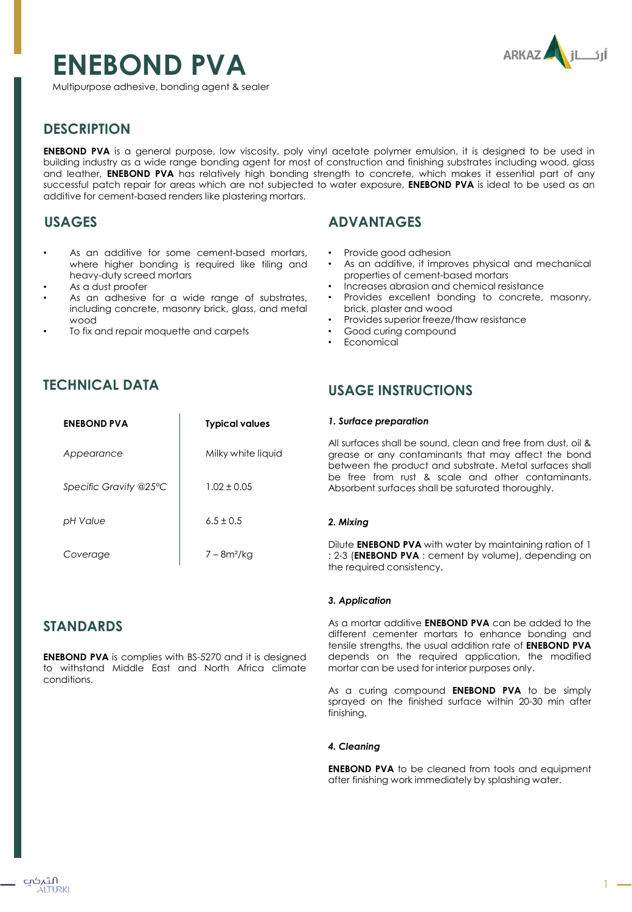# **ENEBOND PVA**



Multipurpose adhesive, bonding agent & sealer

# **DESCRIPTION**

**ENEBOND PVA** is a general purpose, low viscosity, poly vinyl acetate polymer emulsion, it is designed to be used in building industry as a wide range bonding agent for most of construction and finishing substrates including wood, glass and leather, **ENEBOND PVA** has relatively high bonding strength to concrete, which makes it essential part of any successful patch repair for areas which are not subjected to water exposure, **ENEBOND PVA** is ideal to be used as an additive for cement-based renders like plastering mortars.

# **USAGES**

- As an additive for some cement-based mortars, where higher bonding is required like tiling and heavy-duty screed mortars
- As a dust proofer
- As an adhesive for a wide range of substrates, including concrete, masonry brick, glass, and metal wood
- To fix and repair moquette and carpets

## **ADVANTAGES**

- Provide good adhesion
- As an additive, it improves physical and mechanical properties of cement-based mortars
- Increases abrasion and chemical resistance
- Provides excellent bonding to concrete, masonry, brick, plaster and wood
- Provides superior freeze/thaw resistance
- Good curing compound
- Economical

## **TECHNICAL DATA**

| <b>ENEBOND PVA</b>     | <b>Typical values</b>   |
|------------------------|-------------------------|
| Appearance             | Milky white liquid      |
| Specific Gravity @25°C | $1.02 + 0.05$           |
| pH Value               | $6.5 + 0.5$             |
| Coverage               | 7 – 8m <sup>2</sup> /kg |

## **STANDARDS**

**ENEBOND PVA** is complies with BS-5270 and it is designed to withstand Middle East and North Africa climate conditions.

## **USAGE INSTRUCTIONS**

#### *1. Surface preparation*

All surfaces shall be sound, clean and free from dust, oil & grease or any contaminants that may affect the bond between the product and substrate. Metal surfaces shall be free from rust & scale and other contaminants. Absorbent surfaces shall be saturated thoroughly.

## *2. Mixing*

Dilute **ENEBOND PVA** with water by maintaining ration of 1 : 2-3 (**ENEBOND PVA** : cement by volume), depending on the required consistency.

## *3. Application*

As a mortar additive **ENEBOND PVA** can be added to the different cementer mortars to enhance bonding and tensile strengths, the usual addition rate of **ENEBOND PVA** depends on the required application, the modified mortar can be used for interior purposes only.

As a curing compound **ENEBOND PVA** to be simply sprayed on the finished surface within 20-30 min after finishing.

### *4. Cleaning*

**ENEBOND PVA** to be cleaned from tools and equipment after finishing work immediately by splashing water.